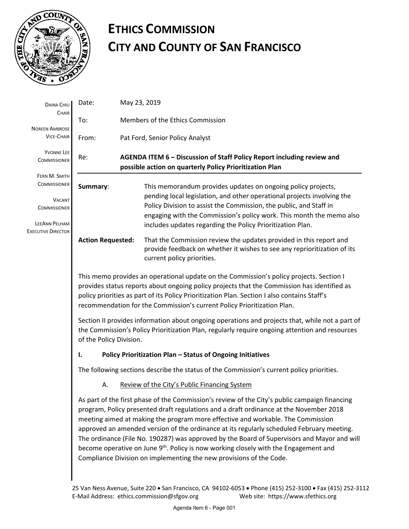

# **ETHICS COMMISSION CITY AND COUNTY OF SAN FRANCISCO**

| DAINA CHIU                                                                                                                                                      | Date:                                                                                                                                                                                                                                                                                                                                                                                                                                                                                                                                                                                                                                             |                                  | May 23, 2019                                                                                                                                                                                                                                                                                                                                        |  |
|-----------------------------------------------------------------------------------------------------------------------------------------------------------------|---------------------------------------------------------------------------------------------------------------------------------------------------------------------------------------------------------------------------------------------------------------------------------------------------------------------------------------------------------------------------------------------------------------------------------------------------------------------------------------------------------------------------------------------------------------------------------------------------------------------------------------------------|----------------------------------|-----------------------------------------------------------------------------------------------------------------------------------------------------------------------------------------------------------------------------------------------------------------------------------------------------------------------------------------------------|--|
| CHAIR                                                                                                                                                           | To:                                                                                                                                                                                                                                                                                                                                                                                                                                                                                                                                                                                                                                               | Members of the Ethics Commission |                                                                                                                                                                                                                                                                                                                                                     |  |
| <b>NOREEN AMBROSE</b><br><b>VICE-CHAIR</b>                                                                                                                      | From:                                                                                                                                                                                                                                                                                                                                                                                                                                                                                                                                                                                                                                             | Pat Ford, Senior Policy Analyst  |                                                                                                                                                                                                                                                                                                                                                     |  |
| YVONNE LEE<br><b>COMMISSIONER</b><br>FERN M. SMITH<br><b>COMMISSIONER</b><br><b>VACANT</b><br><b>COMMISSIONER</b><br>LEEANN PELHAM<br><b>EXECUTIVE DIRECTOR</b> | AGENDA ITEM 6 - Discussion of Staff Policy Report including review and<br>Re:<br>possible action on quarterly Policy Prioritization Plan                                                                                                                                                                                                                                                                                                                                                                                                                                                                                                          |                                  |                                                                                                                                                                                                                                                                                                                                                     |  |
|                                                                                                                                                                 | Summary:                                                                                                                                                                                                                                                                                                                                                                                                                                                                                                                                                                                                                                          |                                  | This memorandum provides updates on ongoing policy projects,<br>pending local legislation, and other operational projects involving the<br>Policy Division to assist the Commission, the public, and Staff in<br>engaging with the Commission's policy work. This month the memo also<br>includes updates regarding the Policy Prioritization Plan. |  |
|                                                                                                                                                                 | <b>Action Requested:</b>                                                                                                                                                                                                                                                                                                                                                                                                                                                                                                                                                                                                                          |                                  | That the Commission review the updates provided in this report and<br>provide feedback on whether it wishes to see any reprioritization of its<br>current policy priorities.                                                                                                                                                                        |  |
|                                                                                                                                                                 | This memo provides an operational update on the Commission's policy projects. Section I<br>provides status reports about ongoing policy projects that the Commission has identified as<br>policy priorities as part of its Policy Prioritization Plan. Section I also contains Staff's<br>recommendation for the Commission's current Policy Prioritization Plan.                                                                                                                                                                                                                                                                                 |                                  |                                                                                                                                                                                                                                                                                                                                                     |  |
|                                                                                                                                                                 | Section II provides information about ongoing operations and projects that, while not a part of<br>the Commission's Policy Prioritization Plan, regularly require ongoing attention and resources<br>of the Policy Division.                                                                                                                                                                                                                                                                                                                                                                                                                      |                                  |                                                                                                                                                                                                                                                                                                                                                     |  |
|                                                                                                                                                                 | Policy Prioritization Plan - Status of Ongoing Initiatives<br>ı.                                                                                                                                                                                                                                                                                                                                                                                                                                                                                                                                                                                  |                                  |                                                                                                                                                                                                                                                                                                                                                     |  |
|                                                                                                                                                                 | The following sections describe the status of the Commission's current policy priorities.                                                                                                                                                                                                                                                                                                                                                                                                                                                                                                                                                         |                                  |                                                                                                                                                                                                                                                                                                                                                     |  |
|                                                                                                                                                                 | Review of the City's Public Financing System<br>А.                                                                                                                                                                                                                                                                                                                                                                                                                                                                                                                                                                                                |                                  |                                                                                                                                                                                                                                                                                                                                                     |  |
|                                                                                                                                                                 | As part of the first phase of the Commission's review of the City's public campaign financing<br>program, Policy presented draft regulations and a draft ordinance at the November 2018<br>meeting aimed at making the program more effective and workable. The Commission<br>approved an amended version of the ordinance at its regularly scheduled February meeting.<br>The ordinance (File No. 190287) was approved by the Board of Supervisors and Mayor and will<br>become operative on June 9 <sup>th</sup> . Policy is now working closely with the Engagement and<br>Compliance Division on implementing the new provisions of the Code. |                                  |                                                                                                                                                                                                                                                                                                                                                     |  |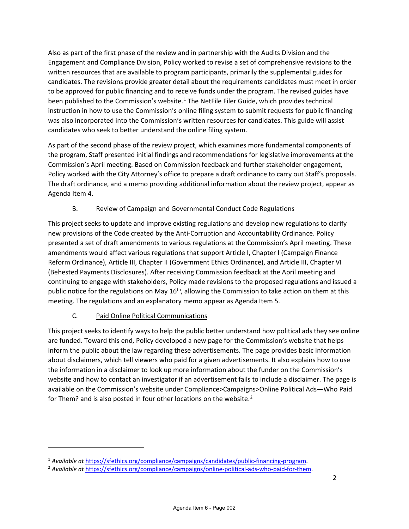Also as part of the first phase of the review and in partnership with the Audits Division and the Engagement and Compliance Division, Policy worked to revise a set of comprehensive revisions to the written resources that are available to program participants, primarily the supplemental guides for candidates. The revisions provide greater detail about the requirements candidates must meet in order to be approved for public financing and to receive funds under the program. The revised guides have been published to the Commission's website.<sup>[1](#page-1-0)</sup> The NetFile Filer Guide, which provides technical instruction in how to use the Commission's online filing system to submit requests for public financing was also incorporated into the Commission's written resources for candidates. This guide will assist candidates who seek to better understand the online filing system.

As part of the second phase of the review project, which examines more fundamental components of the program, Staff presented initial findings and recommendations for legislative improvements at the Commission's April meeting. Based on Commission feedback and further stakeholder engagement, Policy worked with the City Attorney's office to prepare a draft ordinance to carry out Staff's proposals. The draft ordinance, and a memo providing additional information about the review project, appear as Agenda Item 4.

### B. Review of Campaign and Governmental Conduct Code Regulations

This project seeks to update and improve existing regulations and develop new regulations to clarify new provisions of the Code created by the Anti-Corruption and Accountability Ordinance. Policy presented a set of draft amendments to various regulations at the Commission's April meeting. These amendments would affect various regulations that support Article I, Chapter I (Campaign Finance Reform Ordinance), Article III, Chapter II (Government Ethics Ordinance), and Article III, Chapter VI (Behested Payments Disclosures). After receiving Commission feedback at the April meeting and continuing to engage with stakeholders, Policy made revisions to the proposed regulations and issued a public notice for the regulations on May  $16<sup>th</sup>$ , allowing the Commission to take action on them at this meeting. The regulations and an explanatory memo appear as Agenda Item 5.

# C. Paid Online Political Communications

 $\overline{\phantom{a}}$ 

This project seeks to identify ways to help the public better understand how political ads they see online are funded. Toward this end, Policy developed a new page for the Commission's website that helps inform the public about the law regarding these advertisements. The page provides basic information about disclaimers, which tell viewers who paid for a given advertisements. It also explains how to use the information in a disclaimer to look up more information about the funder on the Commission's website and how to contact an investigator if an advertisement fails to include a disclaimer. The page is available on the Commission's website under Compliance>Campaigns>Online Political Ads—Who Paid for Them? and is also posted in four other locations on the website.<sup>[2](#page-1-1)</sup>

<span id="page-1-0"></span><sup>1</sup> *Available at* [https://sfethics.org/compliance/campaigns/candidates/public-financing-program.](https://sfethics.org/compliance/campaigns/candidates/public-financing-program) 2 *Available at* [https://sfethics.org/compliance/campaigns/online-political-ads-who-paid-for-them.](https://sfethics.org/compliance/campaigns/online-political-ads-who-paid-for-them)

<span id="page-1-1"></span>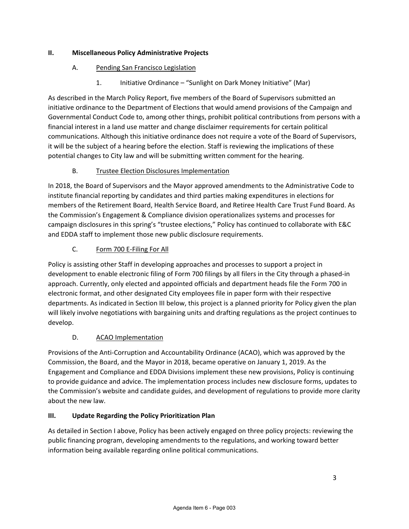### **II. Miscellaneous Policy Administrative Projects**

## A. Pending San Francisco Legislation

1. Initiative Ordinance – "Sunlight on Dark Money Initiative" (Mar)

As described in the March Policy Report, five members of the Board of Supervisors submitted an initiative ordinance to the Department of Elections that would amend provisions of the Campaign and Governmental Conduct Code to, among other things, prohibit political contributions from persons with a financial interest in a land use matter and change disclaimer requirements for certain political communications. Although this initiative ordinance does not require a vote of the Board of Supervisors, it will be the subject of a hearing before the election. Staff is reviewing the implications of these potential changes to City law and will be submitting written comment for the hearing.

# B. Trustee Election Disclosures Implementation

In 2018, the Board of Supervisors and the Mayor approved amendments to the Administrative Code to institute financial reporting by candidates and third parties making expenditures in elections for members of the Retirement Board, Health Service Board, and Retiree Health Care Trust Fund Board. As the Commission's Engagement & Compliance division operationalizes systems and processes for campaign disclosures in this spring's "trustee elections," Policy has continued to collaborate with E&C and EDDA staff to implement those new public disclosure requirements.

# C. Form 700 E-Filing For All

Policy is assisting other Staff in developing approaches and processes to support a project in development to enable electronic filing of Form 700 filings by all filers in the City through a phased-in approach. Currently, only elected and appointed officials and department heads file the Form 700 in electronic format, and other designated City employees file in paper form with their respective departments. As indicated in Section III below, this project is a planned priority for Policy given the plan will likely involve negotiations with bargaining units and drafting regulations as the project continues to develop.

# D. ACAO Implementation

Provisions of the Anti-Corruption and Accountability Ordinance (ACAO), which was approved by the Commission, the Board, and the Mayor in 2018, became operative on January 1, 2019. As the Engagement and Compliance and EDDA Divisions implement these new provisions, Policy is continuing to provide guidance and advice. The implementation process includes new disclosure forms, updates to the Commission's website and candidate guides, and development of regulations to provide more clarity about the new law.

# **III. Update Regarding the Policy Prioritization Plan**

As detailed in Section I above, Policy has been actively engaged on three policy projects: reviewing the public financing program, developing amendments to the regulations, and working toward better information being available regarding online political communications.